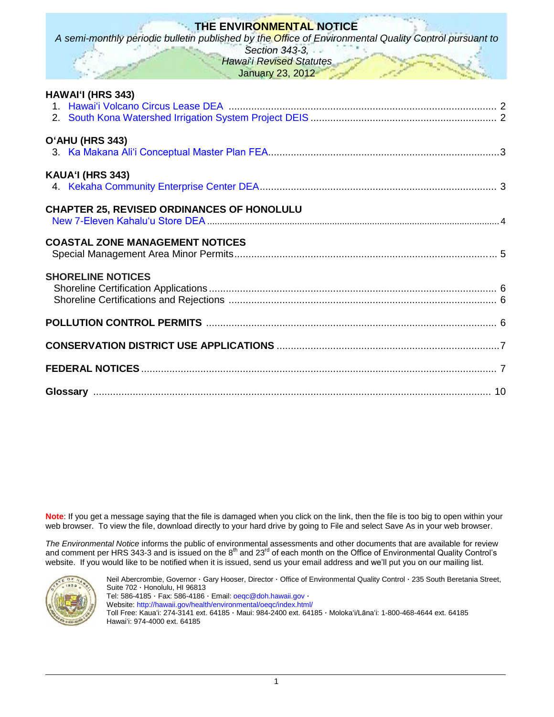# **THE ENVIRONMENTAL NOTICE**

*A semi-monthly periodic bulletin published by the Office of Environmental Quality Control pursuant to* 

*Section 343-3, Hawai*'*i Revised Statutes* January 23, 2012

| <b>HAWAI'I (HRS 343)</b>                   |  |
|--------------------------------------------|--|
| O'AHU (HRS 343)                            |  |
| KAUA'I (HRS 343)                           |  |
| CHAPTER 25, REVISED ORDINANCES OF HONOLULU |  |
| <b>COASTAL ZONE MANAGEMENT NOTICES</b>     |  |
| <b>SHORELINE NOTICES</b>                   |  |
|                                            |  |
|                                            |  |
|                                            |  |
|                                            |  |

**Note**: If you get a message saying that the file is damaged when you click on the link, then the file is too big to open within your web browser. To view the file, download directly to your hard drive by going to File and select Save As in your web browser.

*The Environmental Notice* informs the public of environmental assessments and other documents that are available for review and comment per HRS 343-3 and is issued on the  $8^{th}$  and  $23^{rd}$  of each month on the Office of Environmental Quality Control's website. If you would like to be notified when it is issued, send us your email address and we'll put you on our mailing list.



Neil Abercrombie, Governor · Gary Hooser, Director · Office of Environmental Quality Control · 235 South Beretania Street, Suite 702 · Honolulu, HI 96813 Tel: 586-4185 · Fax: 586-4186 · Email: [oeqc@doh.hawaii.gov](mailto:oeqc@doh.hawaii.gov) · Website:<http://hawaii.gov/health/environmental/oeqc/index.html/> Toll Free: Kauaʻi: 274-3141 ext. 64185 · Maui: 984-2400 ext. 64185 · Molokaʻi/Lānaʻi: 1-800-468-4644 ext. 64185 Hawaiʻi: 974-4000 ext. 64185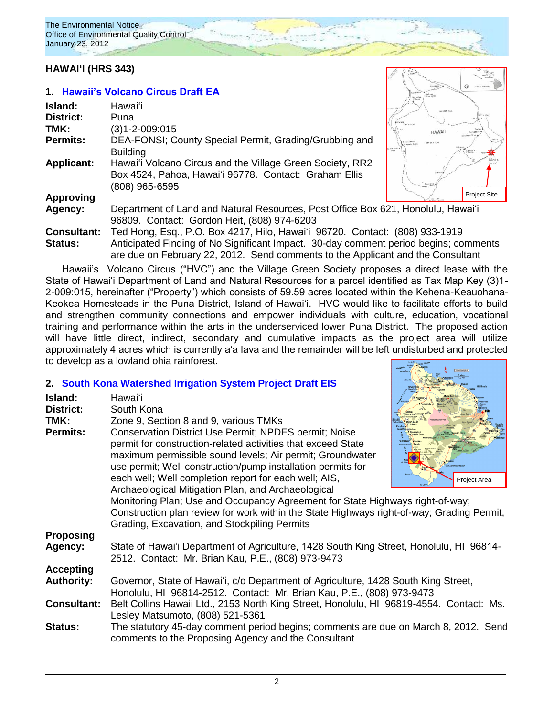# **HAWAIʻI (HRS 343)**

### **1. [Hawaii's Volcano Circus Draft EA](http://oeqc.doh.hawaii.gov/Shared%20Documents/EA_and_EIS_Online_Library/Hawaii/2010s/2012-01-23-DEA-Hawaii-Volcano-Circus-Lease-For-Educational-Purposes.pdf)**

| Island:                       | Hawaiʻi                                                                                                                                                          | MAUNA KEA                                 |
|-------------------------------|------------------------------------------------------------------------------------------------------------------------------------------------------------------|-------------------------------------------|
| District:<br>TMK:             | Puna<br>(3)1-2-009:015                                                                                                                                           | <b>HAWAII</b>                             |
| <b>Permits:</b>               | DEA-FONSI; County Special Permit, Grading/Grubbing and<br><b>Building</b>                                                                                        | <b>Aziakekus</b><br>BAY<br><b>KILAUEA</b> |
| <b>Applicant:</b>             | Hawai'i Volcano Circus and the Village Green Society, RR2<br>Box 4524, Pahoa, Hawai'i 96778. Contact: Graham Ellis<br>(808) 965-6595                             | Pahala<br>Natalah                         |
| <b>Approving</b>              |                                                                                                                                                                  | Proje                                     |
| Agency:                       | Department of Land and Natural Resources, Post Office Box 621, Honolulu, Hawai'i<br>96809. Contact: Gordon Heit, (808) 974-6203                                  |                                           |
| <b>Consultant:</b><br>Status: | Ted Hong, Esq., P.O. Box 4217, Hilo, Hawai'i 96720. Contact: (808) 933-1919<br>Anticinated Finding of No Significant Impact - 30-day comment period begins: comm |                                           |



**Consultant:** Ted Hong, Esq., P.O. Box 4217, Hilo, Hawaiʻi 96720. Contact: (808) 933-1919 ated Finding of No Significant Impact. 30-day comment period begins; comments are due on February 22, 2012. Send comments to the Applicant and the Consultant Hawaii's Volcano Circus ("HVC") and the Village Green Society proposes a direct lease with the

State of Hawaiʻi Department of Land and Natural Resources for a parcel identified as Tax Map Key (3)1- 2-009:015, hereinafter ("Property") which consists of 59.59 acres located within the Kehena-Keauohana-Keokea Homesteads in the Puna District, Island of Hawaiʻi. HVC would like to facilitate efforts to build and strengthen community connections and empower individuals with culture, education, vocational training and performance within the arts in the underserviced lower Puna District. The proposed action will have little direct, indirect, secondary and cumulative impacts as the project area will utilize approximately 4 acres which is currently aʻa lava and the remainder will be left undisturbed and protected to develop as a lowland ohia rainforest.

### **2. [South Kona Watershed Irrigation System Project](http://oeqc.doh.hawaii.gov/Shared%20Documents/EA_and_EIS_Online_Library/Hawaii/2010s/2012-01-23-DEIS-South-Kona-Watershed-Irrigation-System-Project.pdf) Draft EIS**

| Island:<br><b>District:</b><br>TMK:<br><b>Permits:</b>                        | Hawai'i<br>South Kona<br>Zone 9, Section 8 and 9, various TMKs<br>Conservation District Use Permit; NPDES permit; Noise<br>permit for construction-related activities that exceed State<br>maximum permissible sound levels; Air permit; Groundwater<br>use permit; Well construction/pump installation permits for<br>each well; Well completion report for each well; AIS,<br>Archaeological Mitigation Plan, and Archaeological<br>Monitoring Plan; Use and Occupancy Agreement for State Highways right-of-way;<br>Construction plan review for work within the State Highways right-of-way; Grading Permit,<br>Grading, Excavation, and Stockpiling Permits | Project Area |
|-------------------------------------------------------------------------------|------------------------------------------------------------------------------------------------------------------------------------------------------------------------------------------------------------------------------------------------------------------------------------------------------------------------------------------------------------------------------------------------------------------------------------------------------------------------------------------------------------------------------------------------------------------------------------------------------------------------------------------------------------------|--------------|
| <b>Proposing</b><br>Agency:                                                   | State of Hawai'i Department of Agriculture, 1428 South King Street, Honolulu, HI 96814-<br>2512. Contact: Mr. Brian Kau, P.E., (808) 973-9473                                                                                                                                                                                                                                                                                                                                                                                                                                                                                                                    |              |
| <b>Accepting</b><br><b>Authority:</b><br><b>Consultant:</b><br><b>Status:</b> | Governor, State of Hawai'i, c/o Department of Agriculture, 1428 South King Street,<br>Honolulu, HI 96814-2512. Contact: Mr. Brian Kau, P.E., (808) 973-9473<br>Belt Collins Hawaii Ltd., 2153 North King Street, Honolulu, HI 96819-4554. Contact: Ms.<br>Lesley Matsumoto, (808) 521-5361<br>The statutory 45-day comment period begins; comments are due on March 8, 2012. Send<br>comments to the Proposing Agency and the Consultant                                                                                                                                                                                                                         |              |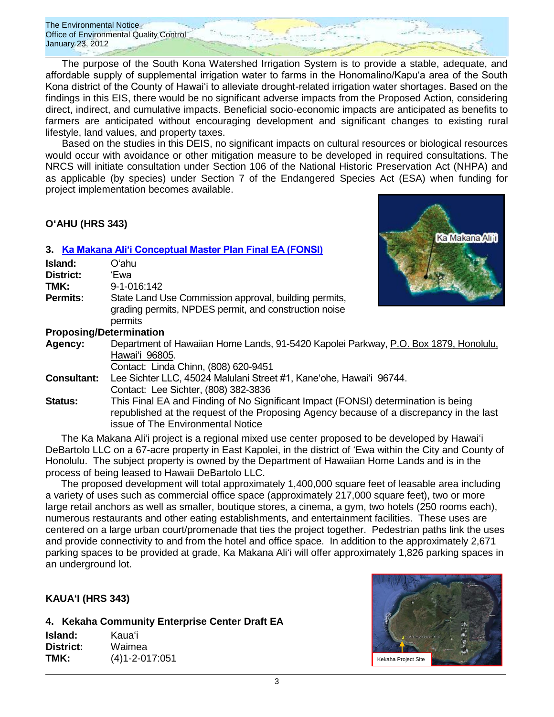The Environmental Notice Office of Environmental Quality Control January 23, 2012

The purpose of the South Kona Watershed Irrigation System is to provide a stable, adequate, and affordable supply of supplemental irrigation water to farms in the Honomalino/Kapu'a area of the South Kona district of the County of Hawai'i to alleviate drought-related irrigation water shortages. Based on the findings in this EIS, there would be no significant adverse impacts from the Proposed Action, considering direct, indirect, and cumulative impacts. Beneficial socio-economic impacts are anticipated as benefits to farmers are anticipated without encouraging development and significant changes to existing rural lifestyle, land values, and property taxes.

Based on the studies in this DEIS, no significant impacts on cultural resources or biological resources would occur with avoidance or other mitigation measure to be developed in required consultations. The NRCS will initiate consultation under Section 106 of the National Historic Preservation Act (NHPA) and as applicable (by species) under Section 7 of the Endangered Species Act (ESA) when funding for project implementation becomes available.

## **OʻAHU (HRS 343)**

### **3. [Ka Makana Aliʻi Conceptual Master Plan Final EA \(FONSI\)](http://oeqc.doh.hawaii.gov/Shared%20Documents/EA_and_EIS_Online_Library/Oahu/2010s/2012-01-23-FEA-Ka-Makana-Alii.pdf)**

| Island:                                | Oʻahu                                                                                                                     |
|----------------------------------------|---------------------------------------------------------------------------------------------------------------------------|
| <b>District:</b>                       | 'Ewa                                                                                                                      |
| TMK:                                   | 9-1-016:142                                                                                                               |
| <b>Permits:</b>                        | State Land Use Commission approval, building permits,<br>grading permits, NPDES permit, and construction noise<br>permits |
| Due is a a lis si (Data una lis atlant |                                                                                                                           |



### **Proposing/Determination**

**Agency:** Department of Hawaiian Home Lands, 91-5420 Kapolei Parkway, P.O. Box 1879, Honolulu, Hawaiʻi 96805.

Contact: Linda Chinn, (808) 620-9451

- **Consultant:** Lee Sichter LLC, 45024 Malulani Street #1, Kaneʻohe, Hawaiʻi 96744. Contact: Lee Sichter, (808) 382-3836
- **Status:** This Final EA and Finding of No Significant Impact (FONSI) determination is being republished at the request of the Proposing Agency because of a discrepancy in the last issue of The Environmental Notice

The Ka Makana Aliʻi project is a regional mixed use center proposed to be developed by Hawaiʻi DeBartolo LLC on a 67-acre property in East Kapolei, in the district of ʻEwa within the City and County of Honolulu. The subject property is owned by the Department of Hawaiian Home Lands and is in the process of being leased to Hawaii DeBartolo LLC.

The proposed development will total approximately 1,400,000 square feet of leasable area including a variety of uses such as commercial office space (approximately 217,000 square feet), two or more large retail anchors as well as smaller, boutique stores, a cinema, a gym, two hotels (250 rooms each), numerous restaurants and other eating establishments, and entertainment facilities. These uses are centered on a large urban court/promenade that ties the project together. Pedestrian paths link the uses and provide connectivity to and from the hotel and office space. In addition to the approximately 2,671 parking spaces to be provided at grade, Ka Makana Aliʻi will offer approximately 1,826 parking spaces in an underground lot.

### **KAUAʻI (HRS 343)**

**4. Kekaha Community Enterprise Center Draft EA**

| Island:   | Kauaʻi               |
|-----------|----------------------|
| District: | Waimea               |
| TMK:      | $(4)1 - 2 - 017:051$ |

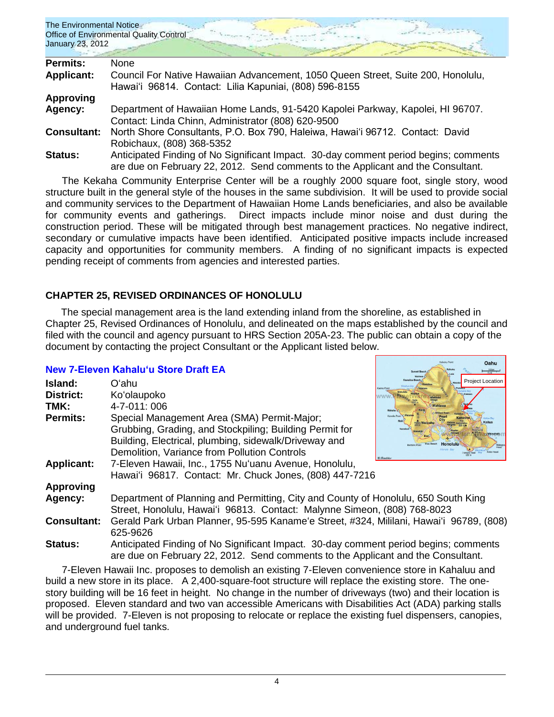| The Environmental Notice<br>Office of Environmental Quality Control |  |  |
|---------------------------------------------------------------------|--|--|
| January 23, 2012                                                    |  |  |
| $D = 1$<br><b>N</b>                                                 |  |  |

| <b>Permits:</b>    | None.                                                                                |
|--------------------|--------------------------------------------------------------------------------------|
| <b>Applicant:</b>  | Council For Native Hawaiian Advancement, 1050 Queen Street, Suite 200, Honolulu,     |
|                    | Hawai'i 96814. Contact: Lilia Kapuniai, (808) 596-8155                               |
| Approving          |                                                                                      |
| Agency:            | Department of Hawaiian Home Lands, 91-5420 Kapolei Parkway, Kapolei, HI 96707.       |
|                    | Contact: Linda Chinn, Administrator (808) 620-9500                                   |
| <b>Consultant:</b> | North Shore Consultants, P.O. Box 790, Haleiwa, Hawai'i 96712. Contact: David        |
|                    | Robichaux, (808) 368-5352                                                            |
| <b>Status:</b>     | Anticipated Finding of No Significant Impact. 30-day comment period begins; comments |
|                    | are due on February 22, 2012. Send comments to the Applicant and the Consultant.     |

The Kekaha Community Enterprise Center will be a roughly 2000 square foot, single story, wood structure built in the general style of the houses in the same subdivision. It will be used to provide social and community services to the Department of Hawaiian Home Lands beneficiaries, and also be available for community events and gatherings. Direct impacts include minor noise and dust during the construction period. These will be mitigated through best management practices. No negative indirect, secondary or cumulative impacts have been identified. Anticipated positive impacts include increased capacity and opportunities for community members. A finding of no significant impacts is expected pending receipt of comments from agencies and interested parties.

# **CHAPTER 25, REVISED ORDINANCES OF HONOLULU**

The special management area is the land extending inland from the shoreline, as established in Chapter 25, Revised Ordinances of Honolulu, and delineated on the maps established by the council and filed with the council and agency pursuant to HRS Section 205A-23. The public can obtain a copy of the document by contacting the project Consultant or the Applicant listed below.

Oahu

# **[New 7-Eleven Kahaluʻu Store](http://oeqc.doh.hawaii.gov/Shared%20Documents/EA_and_EIS_Online_Library/Non-343-EA-EIS-Documents(SMA)/2012-01-23-Ch25-SMA-DEA-7-11-Kahaluu-Store.pdf) Draft EA**

| Island:            | Oʻahu                                                                                   | <b>Project Location</b> |
|--------------------|-----------------------------------------------------------------------------------------|-------------------------|
| <b>District:</b>   | Ko'olaupoko                                                                             |                         |
| TMK:               | 4-7-011:006                                                                             |                         |
| Permits:           | Special Management Area (SMA) Permit-Major;                                             | Kanello Pois            |
|                    | Grubbing, Grading, and Stockpiling; Building Permit for                                 |                         |
|                    | Building, Electrical, plumbing, sidewalk/Driveway and                                   | Honolulu                |
|                    | Demolition, Variance from Pollution Controls                                            |                         |
| <b>Applicant:</b>  | 7-Eleven Hawaii, Inc., 1755 Nu'uanu Avenue, Honolulu,                                   |                         |
|                    | Hawai'i 96817. Contact: Mr. Chuck Jones, (808) 447-7216                                 |                         |
| <b>Approving</b>   |                                                                                         |                         |
| Agency:            | Department of Planning and Permitting, City and County of Honolulu, 650 South King      |                         |
|                    | Street, Honolulu, Hawai'i 96813. Contact: Malynne Simeon, (808) 768-8023                |                         |
| <b>Consultant:</b> | Gerald Park Urban Planner, 95-595 Kaname'e Street, #324, Mililani, Hawai'i 96789, (808) |                         |
|                    | 625-9626                                                                                |                         |
| <b>Status:</b>     | Anticipated Finding of No Significant Impact. 30-day comment period begins; comments    |                         |
|                    | are due on February 22, 2012. Send comments to the Applicant and the Consultant.        |                         |

7-Eleven Hawaii Inc. proposes to demolish an existing 7-Eleven convenience store in Kahaluu and build a new store in its place. A 2,400-square-foot structure will replace the existing store. The onestory building will be 16 feet in height. No change in the number of driveways (two) and their location is proposed. Eleven standard and two van accessible Americans with Disabilities Act (ADA) parking stalls will be provided. 7-Eleven is not proposing to relocate or replace the existing fuel dispensers, canopies, and underground fuel tanks.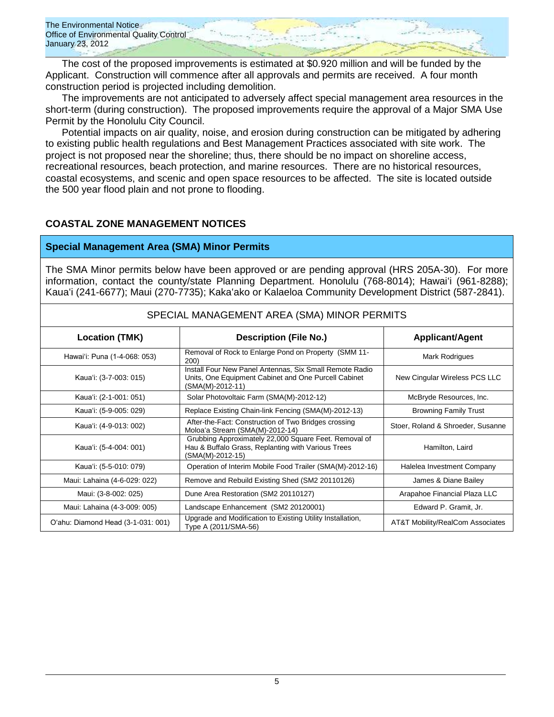

The cost of the proposed improvements is estimated at \$0.920 million and will be funded by the Applicant. Construction will commence after all approvals and permits are received. A four month construction period is projected including demolition.

The improvements are not anticipated to adversely affect special management area resources in the short-term (during construction). The proposed improvements require the approval of a Major SMA Use Permit by the Honolulu City Council.

Potential impacts on air quality, noise, and erosion during construction can be mitigated by adhering to existing public health regulations and Best Management Practices associated with site work. The project is not proposed near the shoreline; thus, there should be no impact on shoreline access, recreational resources, beach protection, and marine resources. There are no historical resources, coastal ecosystems, and scenic and open space resources to be affected. The site is located outside the 500 year flood plain and not prone to flooding.

### **COASTAL ZONE MANAGEMENT NOTICES**

### **Special Management Area (SMA) Minor Permits**

The SMA Minor permits below have been approved or are pending approval (HRS 205A-30). For more information, contact the county/state Planning Department. Honolulu (768-8014); Hawaiʻi (961-8288); Kauaʻi (241-6677); Maui (270-7735); Kakaʻako or Kalaeloa Community Development District (587-2841).

| <b>Location (TMK)</b>              | <b>Description (File No.)</b>                                                                                                       | <b>Applicant/Agent</b>            |  |  |
|------------------------------------|-------------------------------------------------------------------------------------------------------------------------------------|-----------------------------------|--|--|
| Hawai'i: Puna (1-4-068: 053)       | Removal of Rock to Enlarge Pond on Property (SMM 11-<br><b>200</b>                                                                  | Mark Rodrigues                    |  |  |
| Kaua'i: (3-7-003: 015)             | Install Four New Panel Antennas, Six Small Remote Radio<br>Units, One Equipment Cabinet and One Purcell Cabinet<br>(SMA(M)-2012-11) | New Cingular Wireless PCS LLC     |  |  |
| Kaua'i: (2-1-001: 051)             | Solar Photovoltaic Farm (SMA(M)-2012-12)                                                                                            | McBryde Resources, Inc.           |  |  |
| Kaua'i: (5-9-005: 029)             | Replace Existing Chain-link Fencing (SMA(M)-2012-13)                                                                                | <b>Browning Family Trust</b>      |  |  |
| Kaua'i: (4-9-013: 002)             | After-the-Fact: Construction of Two Bridges crossing<br>Moloa'a Stream (SMA(M)-2012-14)                                             | Stoer, Roland & Shroeder, Susanne |  |  |
| Kaua'i: (5-4-004: 001)             | Grubbing Approximately 22,000 Square Feet. Removal of<br>Hau & Buffalo Grass, Replanting with Various Trees<br>(SMA(M)-2012-15)     | Hamilton, Laird                   |  |  |
| Kaua'i: (5-5-010: 079)             | Operation of Interim Mobile Food Trailer (SMA(M)-2012-16)                                                                           | Halelea Investment Company        |  |  |
| Maui: Lahaina (4-6-029: 022)       | Remove and Rebuild Existing Shed (SM2 20110126)                                                                                     | James & Diane Bailey              |  |  |
| Maui: (3-8-002: 025)               | Dune Area Restoration (SM2 20110127)                                                                                                | Arapahoe Financial Plaza LLC      |  |  |
| Maui: Lahaina (4-3-009: 005)       | Landscape Enhancement (SM2 20120001)                                                                                                | Edward P. Gramit, Jr.             |  |  |
| O'ahu: Diamond Head (3-1-031: 001) | Upgrade and Modification to Existing Utility Installation,<br>Type A (2011/SMA-56)                                                  | AT&T Mobility/RealCom Associates  |  |  |

### SPECIAL MANAGEMENT AREA (SMA) MINOR PERMITS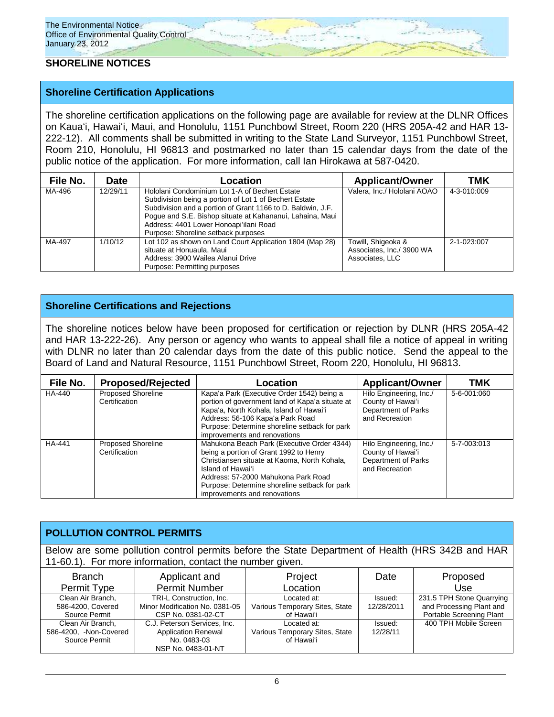# **SHORELINE NOTICES**

## **Shoreline Certification Applications**

The shoreline certification applications on the following page are available for review at the DLNR Offices on Kauaʻi, Hawaiʻi, Maui, and Honolulu, 1151 Punchbowl Street, Room 220 (HRS 205A-42 and HAR 13- 222-12). All comments shall be submitted in writing to the State Land Surveyor, 1151 Punchbowl Street, Room 210, Honolulu, HI 96813 and postmarked no later than 15 calendar days from the date of the public notice of the application. For more information, call Ian Hirokawa at 587-0420.

| File No. | Date     | Location                                                                                                                                                                                                                                                                                                              | <b>Applicant/Owner</b>                                             | тмк         |
|----------|----------|-----------------------------------------------------------------------------------------------------------------------------------------------------------------------------------------------------------------------------------------------------------------------------------------------------------------------|--------------------------------------------------------------------|-------------|
| MA-496   | 12/29/11 | Hololani Condominium Lot 1-A of Bechert Estate<br>Subdivision being a portion of Lot 1 of Bechert Estate<br>Subdivision and a portion of Grant 1166 to D. Baldwin, J.F.<br>Poque and S.E. Bishop situate at Kahananui, Lahaina, Maui<br>Address: 4401 Lower Honoapi'ilani Road<br>Purpose: Shoreline setback purposes | Valera. Inc./ Hololani AOAO                                        | 4-3-010:009 |
| MA-497   | 1/10/12  | Lot 102 as shown on Land Court Application 1804 (Map 28)<br>situate at Honuaula, Maui<br>Address: 3900 Wailea Alanui Drive<br>Purpose: Permitting purposes                                                                                                                                                            | Towill, Shigeoka &<br>Associates, Inc./ 3900 WA<br>Associates, LLC | 2-1-023:007 |

## **Shoreline Certifications and Rejections**

The shoreline notices below have been proposed for certification or rejection by DLNR (HRS 205A-42 and HAR 13-222-26). Any person or agency who wants to appeal shall file a notice of appeal in writing with DLNR no later than 20 calendar days from the date of this public notice. Send the appeal to the Board of Land and Natural Resource, 1151 Punchbowl Street, Room 220, Honolulu, HI 96813.

| File No.      | <b>Proposed/Rejected</b>                   | Location                                                                                                                                                                                                                                                                          | <b>Applicant/Owner</b>                                                                | тмк         |
|---------------|--------------------------------------------|-----------------------------------------------------------------------------------------------------------------------------------------------------------------------------------------------------------------------------------------------------------------------------------|---------------------------------------------------------------------------------------|-------------|
| HA-440        | Proposed Shoreline<br>Certification        | Kapa'a Park (Executive Order 1542) being a<br>portion of government land of Kapa'a situate at<br>Kapa'a, North Kohala, Island of Hawai'i<br>Address: 56-106 Kapa'a Park Road<br>Purpose: Determine shoreline setback for park<br>improvements and renovations                     | Hilo Engineering, Inc./<br>County of Hawai'i<br>Department of Parks<br>and Recreation | 5-6-001:060 |
| <b>HA-441</b> | <b>Proposed Shoreline</b><br>Certification | Mahukona Beach Park (Executive Order 4344)<br>being a portion of Grant 1992 to Henry<br>Christiansen situate at Kaoma, North Kohala,<br>Island of Hawai'i<br>Address: 57-2000 Mahukona Park Road<br>Purpose: Determine shoreline setback for park<br>improvements and renovations | Hilo Engineering, Inc./<br>County of Hawai'i<br>Department of Parks<br>and Recreation | 5-7-003:013 |

# **POLLUTION CONTROL PERMITS**

Below are some pollution control permits before the State Department of Health (HRS 342B and HAR 11-60.1). For more information, contact the number given.

| <b>Branch</b>           | Applicant and                  | Project                        | Date       | Proposed                  |
|-------------------------|--------------------------------|--------------------------------|------------|---------------------------|
| Permit Type             | <b>Permit Number</b>           | Location                       |            | Use                       |
| Clean Air Branch,       | TRI-L Construction. Inc.       | Located at:                    | Issued:    | 231.5 TPH Stone Quarrying |
| 586-4200, Covered       | Minor Modification No. 0381-05 | Various Temporary Sites, State | 12/28/2011 | and Processing Plant and  |
| Source Permit           | CSP No. 0381-02-CT             | of Hawai'i                     |            | Portable Screening Plant  |
| Clean Air Branch,       | C.J. Peterson Services, Inc.   | Located at:                    | Issued:    | 400 TPH Mobile Screen     |
| 586-4200. - Non-Covered | <b>Application Renewal</b>     | Various Temporary Sites, State | 12/28/11   |                           |
| Source Permit           | No. 0483-03                    | of Hawai'i                     |            |                           |
|                         | NSP No. 0483-01-NT             |                                |            |                           |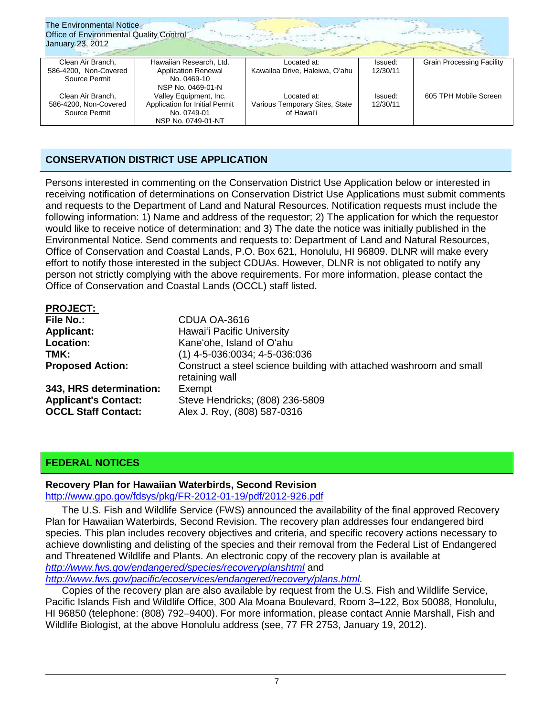| The Environmental Notice<br>Office of Environmental Quality Control<br>January 23, 2012 |                                                                                               |                                                             |                     |                                  |  |
|-----------------------------------------------------------------------------------------|-----------------------------------------------------------------------------------------------|-------------------------------------------------------------|---------------------|----------------------------------|--|
| Clean Air Branch,<br>586-4200, Non-Covered                                              | Hawaiian Research, Ltd.<br><b>Application Renewal</b>                                         | Located at:<br>Kawailoa Drive, Haleiwa, O'ahu               | Issued:<br>12/30/11 | <b>Grain Processing Facility</b> |  |
| Source Permit                                                                           | No. 0469-10                                                                                   |                                                             |                     |                                  |  |
|                                                                                         | NSP No. 0469-01-N                                                                             |                                                             |                     |                                  |  |
| Clean Air Branch,<br>586-4200, Non-Covered<br>Source Permit                             | Valley Equipment, Inc.<br>Application for Initial Permit<br>No. 0749-01<br>NSP No. 0749-01-NT | Located at:<br>Various Temporary Sites, State<br>of Hawai'i | Issued:<br>12/30/11 | 605 TPH Mobile Screen            |  |

# **CONSERVATION DISTRICT USE APPLICATION**

Persons interested in commenting on the Conservation District Use Application below or interested in receiving notification of determinations on Conservation District Use Applications must submit comments and requests to the Department of Land and Natural Resources. Notification requests must include the following information: 1) Name and address of the requestor; 2) The application for which the requestor would like to receive notice of determination; and 3) The date the notice was initially published in the Environmental Notice. Send comments and requests to: Department of Land and Natural Resources, Office of Conservation and Coastal Lands, P.O. Box 621, Honolulu, HI 96809. DLNR will make every effort to notify those interested in the subject CDUAs. However, DLNR is not obligated to notify any person not strictly complying with the above requirements. For more information, please contact the Office of Conservation and Coastal Lands (OCCL) staff listed.

| <b>PROJECT:</b>             |                                                                                       |
|-----------------------------|---------------------------------------------------------------------------------------|
| File No.:                   | CDUA OA-3616                                                                          |
| <b>Applicant:</b>           | Hawai'i Pacific University                                                            |
| Location:                   | Kane'ohe, Island of O'ahu                                                             |
| TMK:                        | $(1)$ 4-5-036:0034; 4-5-036:036                                                       |
| <b>Proposed Action:</b>     | Construct a steel science building with attached washroom and small<br>retaining wall |
| 343, HRS determination:     | Exempt                                                                                |
| <b>Applicant's Contact:</b> | Steve Hendricks; (808) 236-5809                                                       |
| <b>OCCL Staff Contact:</b>  | Alex J. Roy, (808) 587-0316                                                           |

# **FEDERAL NOTICES**

# **Recovery Plan for Hawaiian Waterbirds, Second Revision**

<http://www.gpo.gov/fdsys/pkg/FR-2012-01-19/pdf/2012-926.pdf>

The U.S. Fish and Wildlife Service (FWS) announced the availability of the final approved Recovery Plan for Hawaiian Waterbirds, Second Revision. The recovery plan addresses four endangered bird species. This plan includes recovery objectives and criteria, and specific recovery actions necessary to achieve downlisting and delisting of the species and their removal from the Federal List of Endangered and Threatened Wildlife and Plants. An electronic copy of the recovery plan is available at *<http://www.fws.gov/endangered/species/recoveryplanshtml>* and

*[http://www.fws.gov/pacific/ecoservices/endangered/recovery/plans.html.](http://www.fws.gov/pacific/ecoservices/endangered/recovery/plans.html)*

Copies of the recovery plan are also available by request from the U.S. Fish and Wildlife Service, Pacific Islands Fish and Wildlife Office, 300 Ala Moana Boulevard, Room 3–122, Box 50088, Honolulu, HI 96850 (telephone: (808) 792–9400). For more information, please contact Annie Marshall, Fish and Wildlife Biologist, at the above Honolulu address (see, 77 FR 2753, January 19, 2012).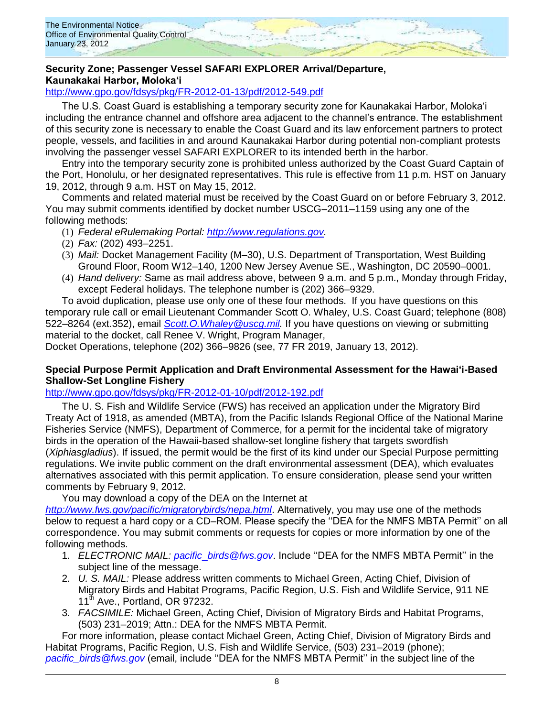

# **Security Zone; Passenger Vessel SAFARI EXPLORER Arrival/Departure, Kaunakakai Harbor, Moloka'i**

<http://www.gpo.gov/fdsys/pkg/FR-2012-01-13/pdf/2012-549.pdf>

The U.S. Coast Guard is establishing a temporary security zone for Kaunakakai Harbor, Moloka'i including the entrance channel and offshore area adjacent to the channel's entrance. The establishment of this security zone is necessary to enable the Coast Guard and its law enforcement partners to protect people, vessels, and facilities in and around Kaunakakai Harbor during potential non-compliant protests involving the passenger vessel SAFARI EXPLORER to its intended berth in the harbor.

Entry into the temporary security zone is prohibited unless authorized by the Coast Guard Captain of the Port, Honolulu, or her designated representatives. This rule is effective from 11 p.m. HST on January 19, 2012, through 9 a.m. HST on May 15, 2012.

Comments and related material must be received by the Coast Guard on or before February 3, 2012. You may submit comments identified by docket number USCG–2011–1159 using any one of the following methods:

- (1) *Federal eRulemaking Portal: [http://www.regulations.gov.](http://www.regulations.gov/)*
- (2) *Fax:* (202) 493–2251.
- (3) *Mail:* Docket Management Facility (M–30), U.S. Department of Transportation, West Building Ground Floor, Room W12–140, 1200 New Jersey Avenue SE., Washington, DC 20590–0001.
- (4) *Hand delivery:* Same as mail address above, between 9 a.m. and 5 p.m., Monday through Friday, except Federal holidays. The telephone number is (202) 366–9329.

To avoid duplication, please use only one of these four methods. If you have questions on this temporary rule call or email Lieutenant Commander Scott O. Whaley, U.S. Coast Guard; telephone (808) 522–8264 (ext.352), email *[Scott.O.Whaley@uscg.mil.](mailto:Scott.O.Whaley@uscg.mil)* If you have questions on viewing or submitting material to the docket, call Renee V. Wright, Program Manager,

Docket Operations, telephone (202) 366–9826 (see, 77 FR 2019, January 13, 2012).

## **Special Purpose Permit Application and Draft Environmental Assessment for the Hawai'i-Based Shallow-Set Longline Fishery**

<http://www.gpo.gov/fdsys/pkg/FR-2012-01-10/pdf/2012-192.pdf>

The U. S. Fish and Wildlife Service (FWS) has received an application under the Migratory Bird Treaty Act of 1918, as amended (MBTA), from the Pacific Islands Regional Office of the National Marine Fisheries Service (NMFS), Department of Commerce, for a permit for the incidental take of migratory birds in the operation of the Hawaii-based shallow-set longline fishery that targets swordfish (*Xiphiasgladius*). If issued, the permit would be the first of its kind under our Special Purpose permitting regulations. We invite public comment on the draft environmental assessment (DEA), which evaluates alternatives associated with this permit application. To ensure consideration, please send your written comments by February 9, 2012.

You may download a copy of the DEA on the Internet at

*<http://www.fws.gov/pacific/migratorybirds/nepa.html>*. Alternatively, you may use one of the methods below to request a hard copy or a CD–ROM. Please specify the ''DEA for the NMFS MBTA Permit'' on all correspondence. You may submit comments or requests for copies or more information by one of the following methods.

- 1. *ELECTRONIC MAIL: pacific*\_*[birds@fws.gov](mailto:pacific_birds@fws.gov)*. Include ''DEA for the NMFS MBTA Permit'' in the subject line of the message.
- 2. *U. S. MAIL:* Please address written comments to Michael Green, Acting Chief, Division of Migratory Birds and Habitat Programs, Pacific Region, U.S. Fish and Wildlife Service, 911 NE 11<sup>th</sup> Ave., Portland, OR 97232.
- 3. *FACSIMILE:* Michael Green, Acting Chief, Division of Migratory Birds and Habitat Programs, (503) 231–2019; Attn.: DEA for the NMFS MBTA Permit.

For more information, please contact Michael Green, Acting Chief, Division of Migratory Birds and Habitat Programs, Pacific Region, U.S. Fish and Wildlife Service, (503) 231–2019 (phone); *[pacific\\_birds@fws.gov](mailto:pacific_birds@fws.gov)* (email, include ''DEA for the NMFS MBTA Permit'' in the subject line of the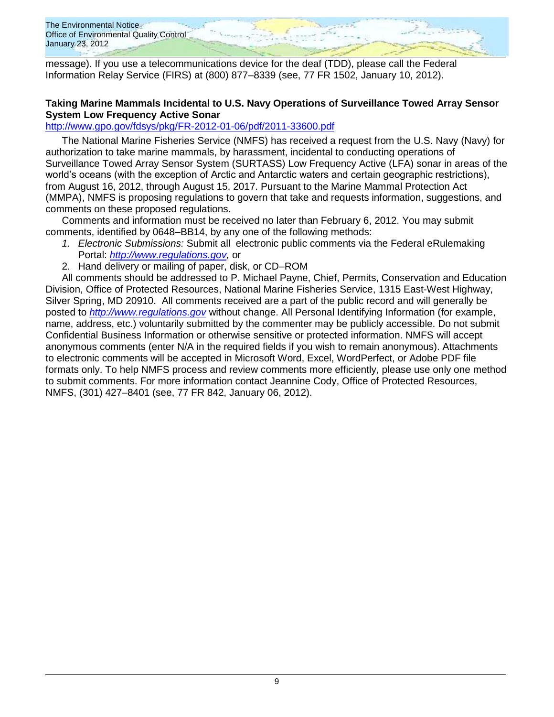The Environmental Notice Office of Environmental Quality Control January 23, 2012

message). If you use a telecommunications device for the deaf (TDD), please call the Federal Information Relay Service (FIRS) at (800) 877–8339 (see, 77 FR 1502, January 10, 2012).

### **Taking Marine Mammals Incidental to U.S. Navy Operations of Surveillance Towed Array Sensor System Low Frequency Active Sonar**

# <http://www.gpo.gov/fdsys/pkg/FR-2012-01-06/pdf/2011-33600.pdf>

The National Marine Fisheries Service (NMFS) has received a request from the U.S. Navy (Navy) for authorization to take marine mammals, by harassment, incidental to conducting operations of Surveillance Towed Array Sensor System (SURTASS) Low Frequency Active (LFA) sonar in areas of the world's oceans (with the exception of Arctic and Antarctic waters and certain geographic restrictions), from August 16, 2012, through August 15, 2017. Pursuant to the Marine Mammal Protection Act (MMPA), NMFS is proposing regulations to govern that take and requests information, suggestions, and comments on these proposed regulations.

Comments and information must be received no later than February 6, 2012. You may submit comments, identified by 0648–BB14, by any one of the following methods:

- *1. Electronic Submissions:* Submit all electronic public comments via the Federal eRulemaking Portal: *[http://www.regulations.gov,](http://www.regulations.gov/)* or
- 2. Hand delivery or mailing of paper, disk, or CD–ROM

All comments should be addressed to P. Michael Payne, Chief, Permits, Conservation and Education Division, Office of Protected Resources, National Marine Fisheries Service, 1315 East-West Highway, Silver Spring, MD 20910. All comments received are a part of the public record and will generally be posted to *[http://www.regulations.gov](http://www.regulations.gov/)* without change. All Personal Identifying Information (for example, name, address, etc.) voluntarily submitted by the commenter may be publicly accessible. Do not submit Confidential Business Information or otherwise sensitive or protected information. NMFS will accept anonymous comments (enter N/A in the required fields if you wish to remain anonymous). Attachments to electronic comments will be accepted in Microsoft Word, Excel, WordPerfect, or Adobe PDF file formats only. To help NMFS process and review comments more efficiently, please use only one method to submit comments. For more information contact Jeannine Cody, Office of Protected Resources, NMFS, (301) 427–8401 (see, 77 FR 842, January 06, 2012).